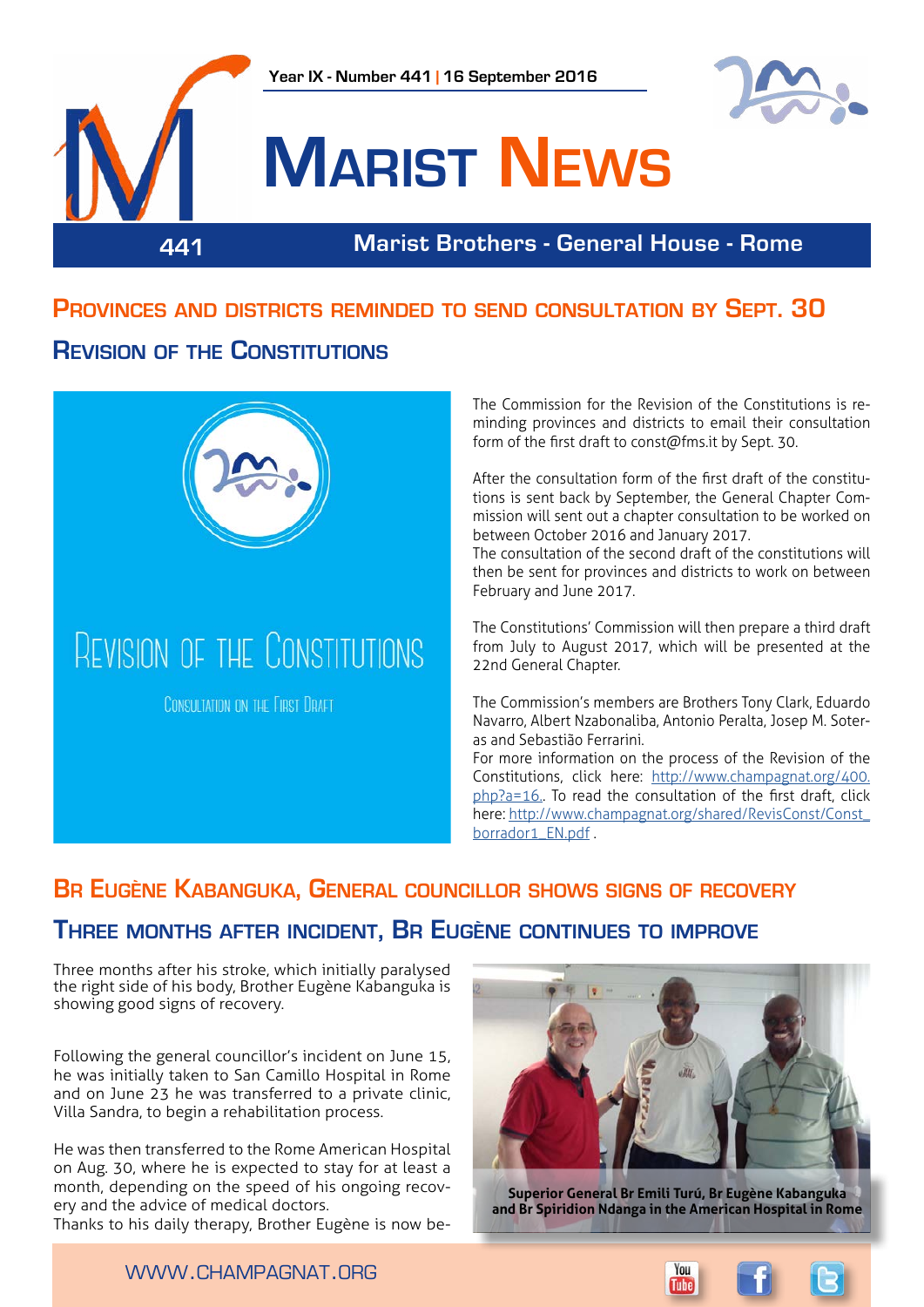



# **Marist News**

### **441 Marist Brothers - General House - Rome**

## **Provinces and districts reminded to send consultation by Sept. 30 Revision of the Constitutions**



The Commission for the Revision of the Constitutions is reminding provinces and districts to email their consultation form of the first draft to const@fms.it by Sept. 30.

After the consultation form of the first draft of the constitutions is sent back by September, the General Chapter Commission will sent out a chapter consultation to be worked on between October 2016 and January 2017.

The consultation of the second draft of the constitutions will then be sent for provinces and districts to work on between February and June 2017.

The Constitutions' Commission will then prepare a third draft from July to August 2017, which will be presented at the 22nd General Chapter.

The Commission's members are Brothers Tony Clark, Eduardo Navarro, Albert Nzabonaliba, Antonio Peralta, Josep M. Soteras and Sebastião Ferrarini.

For more information on the process of the Revision of the Constitutions, click here: [http://www.champagnat.org/400.](http://www.champagnat.org/400.php?a=16) [php?a=16.](http://www.champagnat.org/400.php?a=16). To read the consultation of the first draft, click here: [http://www.champagnat.org/shared/RevisConst/Const\\_](http://www.champagnat.org/shared/RevisConst/Const_borrador1_EN.pdf) borrador1\_FN.pdf .

## **Br Eugène Kabanguka, General councillor shows signs of recovery**

### **Three months after incident, Br Eugène continues to improve**

Three months after his stroke, which initially paralysed the right side of his body, Brother Eugène Kabanguka is showing good signs of recovery.

Following the general councillor's incident on June 15, he was initially taken to San Camillo Hospital in Rome and on June 23 he was transferred to a private clinic, Villa Sandra, to begin a rehabilitation process.

He was then transferred to the Rome American Hospital on Aug. 30, where he is expected to stay for at least a month, depending on the speed of his ongoing recovery and the advice of medical doctors.

Thanks to his daily therapy, Brother Eugène is now be-



**Superior General Br Emili Turú, Br Eugène Kabanguka and Br Spiridion Ndanga in the American Hospital in Rome**

www.champagnat.org

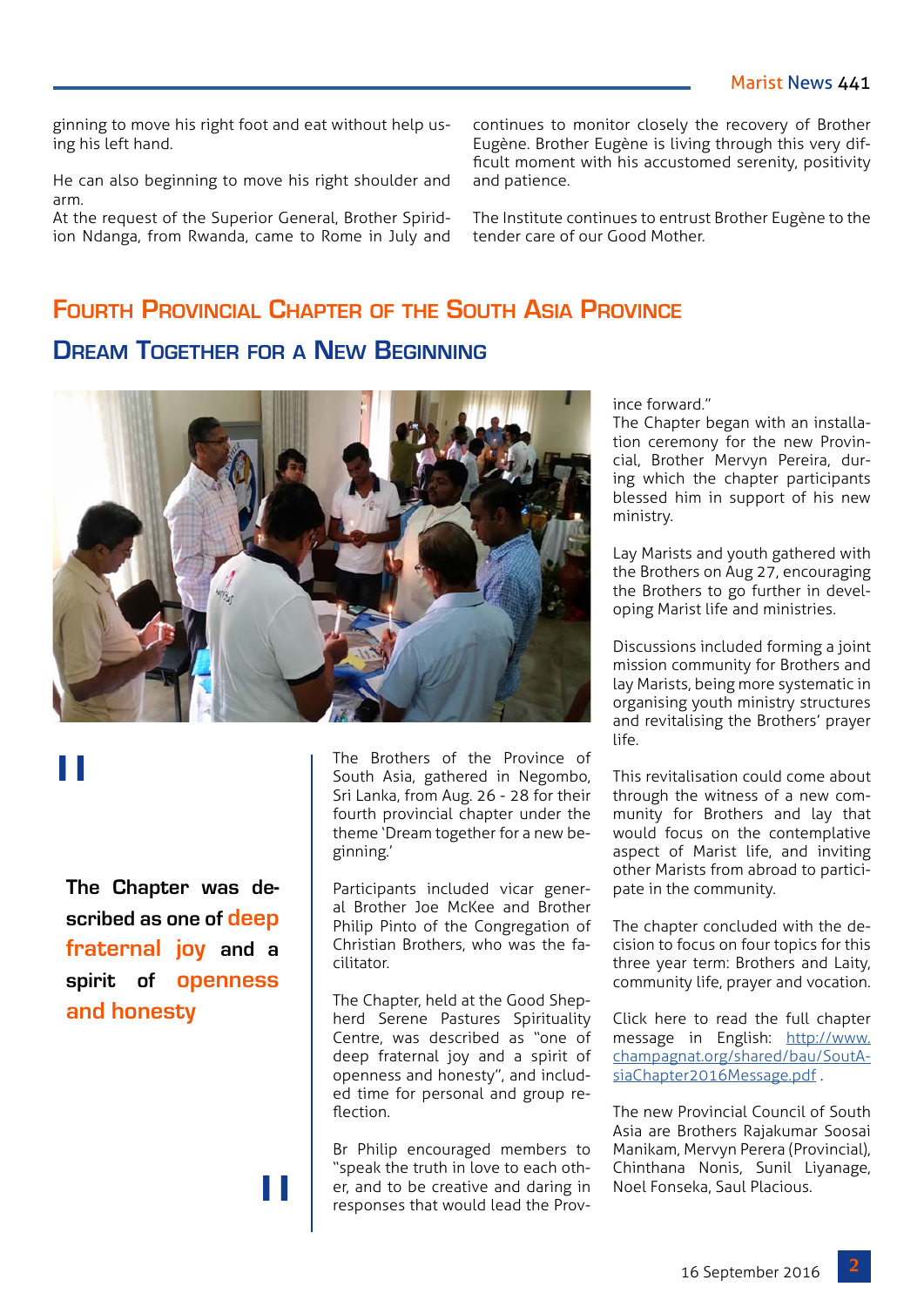ginning to move his right foot and eat without help using his left hand.

He can also beginning to move his right shoulder and arm.

At the request of the Superior General, Brother Spiridion Ndanga, from Rwanda, came to Rome in July and continues to monitor closely the recovery of Brother Eugène. Brother Eugène is living through this very difficult moment with his accustomed serenity, positivity and patience.

The Institute continues to entrust Brother Eugène to the tender care of our Good Mother.

## **Fourth Provincial Chapter of the South Asia Province**

**Dream Together for a New Beginning**



# "

**The Chapter was described as one of deep fraternal joy and a spirit of openness and honesty**

"

The Brothers of the Province of South Asia, gathered in Negombo, Sri Lanka, from Aug. 26 - 28 for their fourth provincial chapter under the theme 'Dream together for a new beginning.'

Participants included vicar general Brother Joe McKee and Brother Philip Pinto of the Congregation of Christian Brothers, who was the facilitator.

The Chapter, held at the Good Shepherd Serene Pastures Spirituality Centre, was described as "one of deep fraternal joy and a spirit of openness and honesty", and included time for personal and group reflection.

Br Philip encouraged members to "speak the truth in love to each other, and to be creative and daring in responses that would lead the Province forward."

The Chapter began with an installation ceremony for the new Provincial, Brother Mervyn Pereira, during which the chapter participants blessed him in support of his new ministry.

Lay Marists and youth gathered with the Brothers on Aug 27, encouraging the Brothers to go further in developing Marist life and ministries.

Discussions included forming a joint mission community for Brothers and lay Marists, being more systematic in organising youth ministry structures and revitalising the Brothers' prayer life.

This revitalisation could come about through the witness of a new community for Brothers and lay that would focus on the contemplative aspect of Marist life, and inviting other Marists from abroad to participate in the community.

The chapter concluded with the decision to focus on four topics for this three year term: Brothers and Laity, community life, prayer and vocation.

Click here to read the full chapter message in English: [http://www.](http://www.champagnat.org/shared/bau/SoutAsiaChapter2016Message.pdf) [champagnat.org/shared/bau/SoutA](http://www.champagnat.org/shared/bau/SoutAsiaChapter2016Message.pdf)[siaChapter2016Message.pdf](http://www.champagnat.org/shared/bau/SoutAsiaChapter2016Message.pdf) .

The new Provincial Council of South Asia are Brothers Rajakumar Soosai Manikam, Mervyn Perera (Provincial), Chinthana Nonis, Sunil Liyanage, Noel Fonseka, Saul Placious.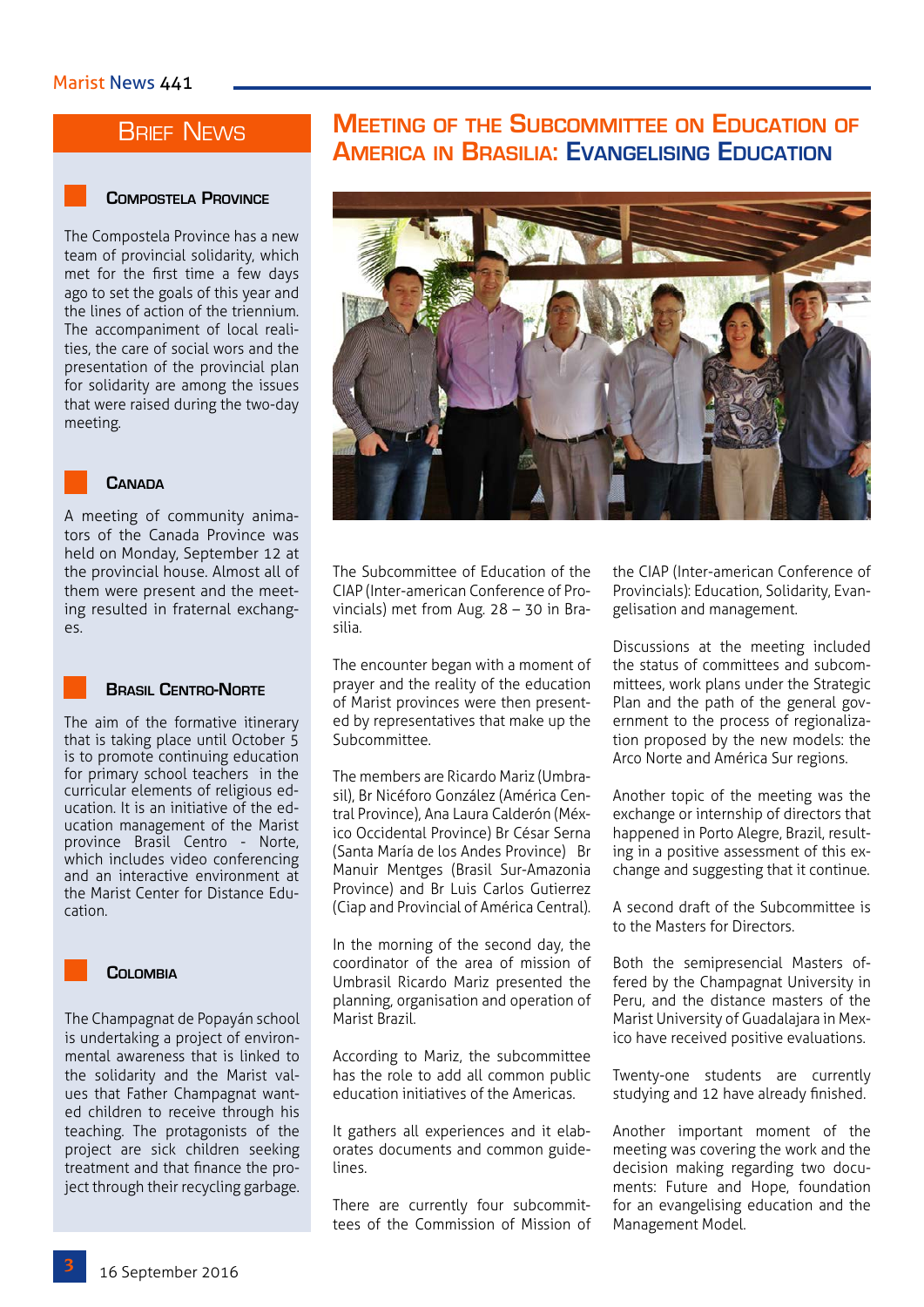## **BRIEF NEWS**

#### **Compostela Province**

The Compostela Province has a new team of provincial solidarity, which met for the first time a few days ago to set the goals of this year and the lines of action of the triennium. The accompaniment of local realities, the care of social wors and the presentation of the provincial plan for solidarity are among the issues that were raised during the two-day meeting.



#### A meeting of community animators of the Canada Province was held on Monday, September 12 at the provincial house. Almost all of them were present and the meeting resulted in fraternal exchanges.



#### **Brasil Centro-Norte**

The aim of the formative itinerary that is taking place until October 5 is to promote continuing education for primary school teachers in the curricular elements of religious education. It is an initiative of the education management of the Marist province Brasil Centro - Norte, which includes video conferencing and an interactive environment at the Marist Center for Distance Education.



#### **COLOMBIA**

The Champagnat de Popayán school is undertaking a project of environmental awareness that is linked to the solidarity and the Marist values that Father Champagnat wanted children to receive through his teaching. The protagonists of the project are sick children seeking treatment and that finance the project through their recycling garbage.

## **Meeting of the Subcommittee on Education of America in Brasilia: Evangelising Education**



The Subcommittee of Education of the CIAP (Inter-american Conference of Provincials) met from Aug. 28 – 30 in Brasilia.

The encounter began with a moment of prayer and the reality of the education of Marist provinces were then presented by representatives that make up the Subcommittee.

The members are Ricardo Mariz (Umbrasil), Br Nicéforo González (América Central Province), Ana Laura Calderón (México Occidental Province) Br César Serna (Santa María de los Andes Province) Br Manuir Mentges (Brasil Sur-Amazonia Province) and Br Luis Carlos Gutierrez (Ciap and Provincial of América Central).

In the morning of the second day, the coordinator of the area of mission of Umbrasil Ricardo Mariz presented the planning, organisation and operation of Marist Brazil.

According to Mariz, the subcommittee has the role to add all common public education initiatives of the Americas.

It gathers all experiences and it elaborates documents and common guidelines.

There are currently four subcommittees of the Commission of Mission of the CIAP (Inter-american Conference of Provincials): Education, Solidarity, Evangelisation and management.

Discussions at the meeting included the status of committees and subcommittees, work plans under the Strategic Plan and the path of the general government to the process of regionalization proposed by the new models: the Arco Norte and América Sur regions.

Another topic of the meeting was the exchange or internship of directors that happened in Porto Alegre, Brazil, resulting in a positive assessment of this exchange and suggesting that it continue.

A second draft of the Subcommittee is to the Masters for Directors.

Both the semipresencial Masters offered by the Champagnat University in Peru, and the distance masters of the Marist University of Guadalajara in Mexico have received positive evaluations.

Twenty-one students are currently studying and 12 have already finished.

Another important moment of the meeting was covering the work and the decision making regarding two documents: Future and Hope, foundation for an evangelising education and the Management Model.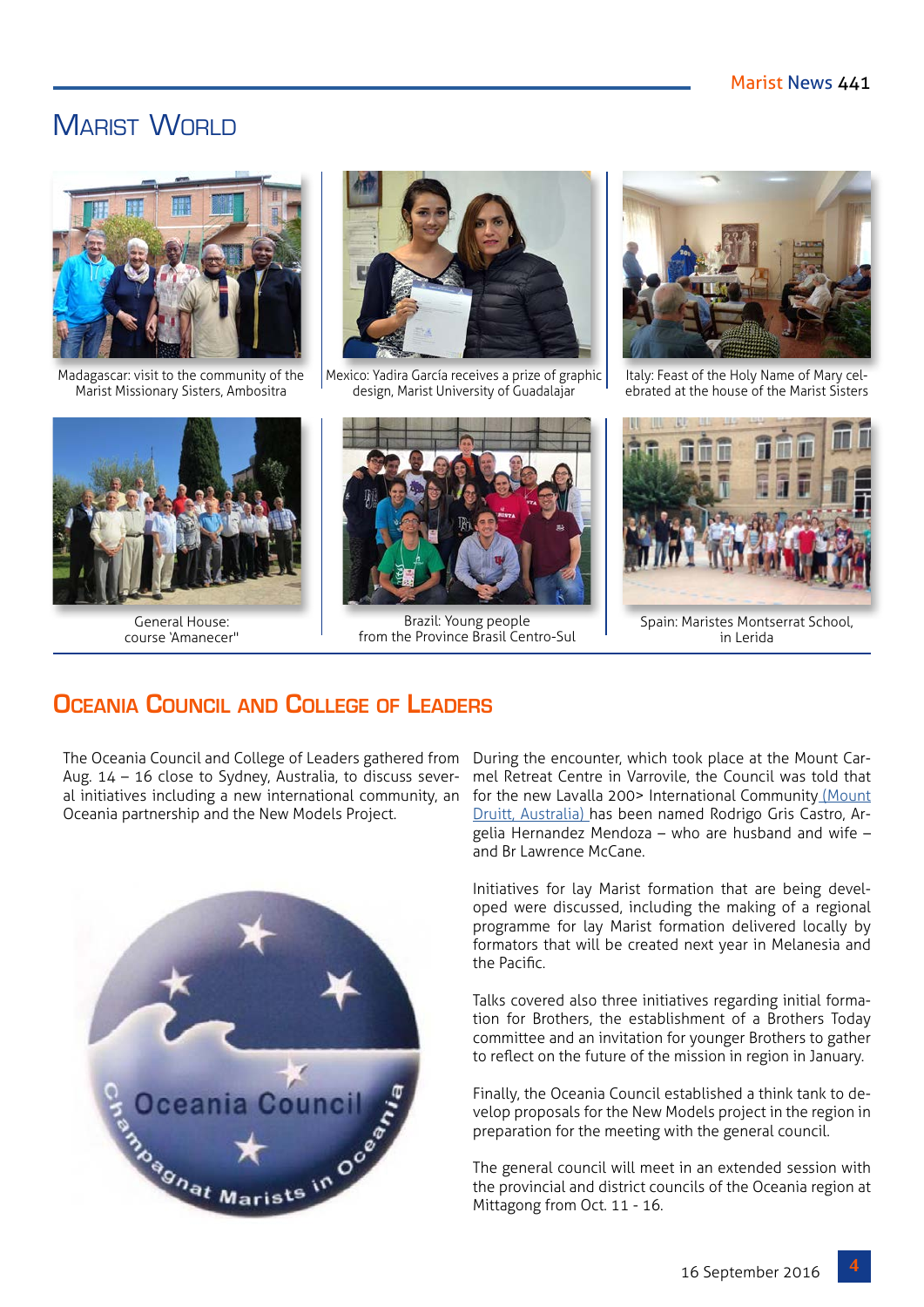## MARIST WORLD



Madagascar: visit to the community of the Marist Missionary Sisters, Ambositra



General House: course 'Amanecer"



Mexico: Yadira García receives a prize of graphic design, Marist University of Guadalajar



Brazil: Young people from the Province Brasil Centro-Sul



Italy: Feast of the Holy Name of Mary celebrated at the house of the Marist Sisters



Spain: Maristes Montserrat School, in Lerida

## **Oceania Council and College of Leaders**

The Oceania Council and College of Leaders gathered from Aug. 14 – 16 close to Sydney, Australia, to discuss several initiatives including a new international community, an Oceania partnership and the New Models Project.



During the encounter, which took place at the Mount Carmel Retreat Centre in Varrovile, the Council was told that for the new Lavalla 200> International Communit[y \(Mount](http://www.champagnat.org/400.php?a=25&n=4036&id=LaValla200) [Druitt, Australia\) h](http://www.champagnat.org/400.php?a=25&n=4036&id=LaValla200)as been named Rodrigo Gris Castro, Argelia Hernandez Mendoza – who are husband and wife – and Br Lawrence McCane.

Initiatives for lay Marist formation that are being developed were discussed, including the making of a regional programme for lay Marist formation delivered locally by formators that will be created next year in Melanesia and the Pacific.

Talks covered also three initiatives regarding initial formation for Brothers, the establishment of a Brothers Today committee and an invitation for younger Brothers to gather to reflect on the future of the mission in region in January.

Finally, the Oceania Council established a think tank to develop proposals for the New Models project in the region in preparation for the meeting with the general council.

The general council will meet in an extended session with the provincial and district councils of the Oceania region at Mittagong from Oct. 11 - 16.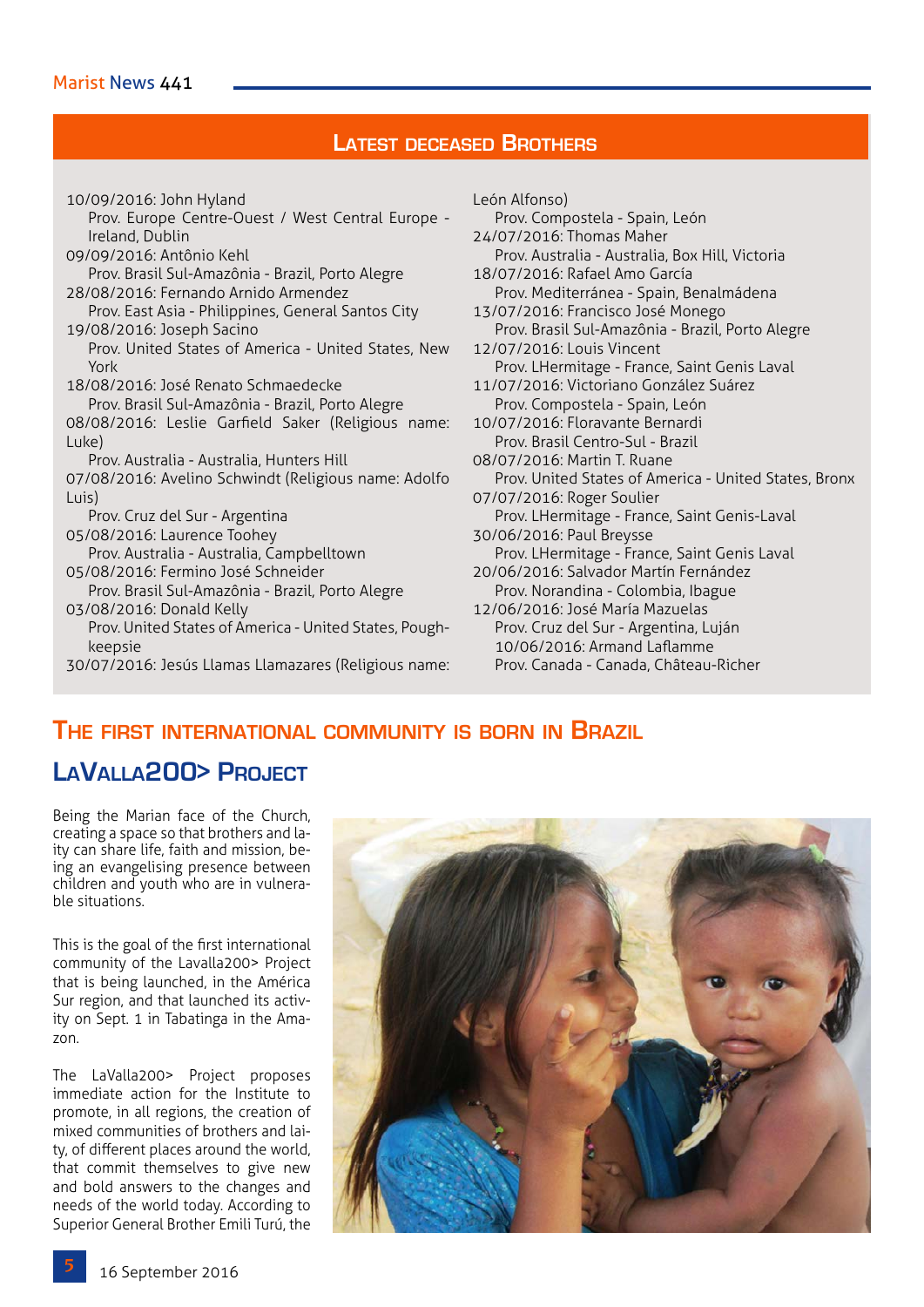#### **Latest deceased Brothers**

10/09/2016: John Hyland Prov. Europe Centre-Ouest / West Central Europe - Ireland, Dublin 09/09/2016: Antônio Kehl Prov. Brasil Sul-Amazônia - Brazil, Porto Alegre 28/08/2016: Fernando Arnido Armendez Prov. East Asia - Philippines, General Santos City 19/08/2016: Joseph Sacino Prov. United States of America - United States, New York 18/08/2016: José Renato Schmaedecke Prov. Brasil Sul-Amazônia - Brazil, Porto Alegre 08/08/2016: Leslie Garfield Saker (Religious name: Luke) Prov. Australia - Australia, Hunters Hill 07/08/2016: Avelino Schwindt (Religious name: Adolfo Luis) Prov. Cruz del Sur - Argentina 05/08/2016: Laurence Toohey Prov. Australia - Australia, Campbelltown 05/08/2016: Fermino José Schneider Prov. Brasil Sul-Amazônia - Brazil, Porto Alegre 03/08/2016: Donald Kelly Prov. United States of America - United States, Poughkeepsie 30/07/2016: Jesús Llamas Llamazares (Religious name:

León Alfonso) Prov. Compostela - Spain, León 24/07/2016: Thomas Maher Prov. Australia - Australia, Box Hill, Victoria 18/07/2016: Rafael Amo García Prov. Mediterránea - Spain, Benalmádena 13/07/2016: Francisco José Monego Prov. Brasil Sul-Amazônia - Brazil, Porto Alegre 12/07/2016: Louis Vincent Prov. LHermitage - France, Saint Genis Laval 11/07/2016: Victoriano González Suárez Prov. Compostela - Spain, León 10/07/2016: Floravante Bernardi Prov. Brasil Centro-Sul - Brazil 08/07/2016: Martin T. Ruane Prov. United States of America - United States, Bronx 07/07/2016: Roger Soulier Prov. LHermitage - France, Saint Genis-Laval 30/06/2016: Paul Breysse Prov. LHermitage - France, Saint Genis Laval 20/06/2016: Salvador Martín Fernández Prov. Norandina - Colombia, Ibague 12/06/2016: José María Mazuelas Prov. Cruz del Sur - Argentina, Luján 10/06/2016: Armand Laflamme Prov. Canada - Canada, Château-Richer

# **The first international community is born in Brazil**

**LaValla200> Project**

Being the Marian face of the Church, creating a space so that brothers and laity can share life, faith and mission, being an evangelising presence between children and youth who are in vulnerable situations.

This is the goal of the first international community of the Lavalla200> Project that is being launched, in the América Sur region, and that launched its activity on Sept. 1 in Tabatinga in the Amazon.

The LaValla200> Project proposes immediate action for the Institute to promote, in all regions, the creation of mixed communities of brothers and laity, of different places around the world, that commit themselves to give new and bold answers to the changes and needs of the world today. According to Superior General Brother Emili Turú, the